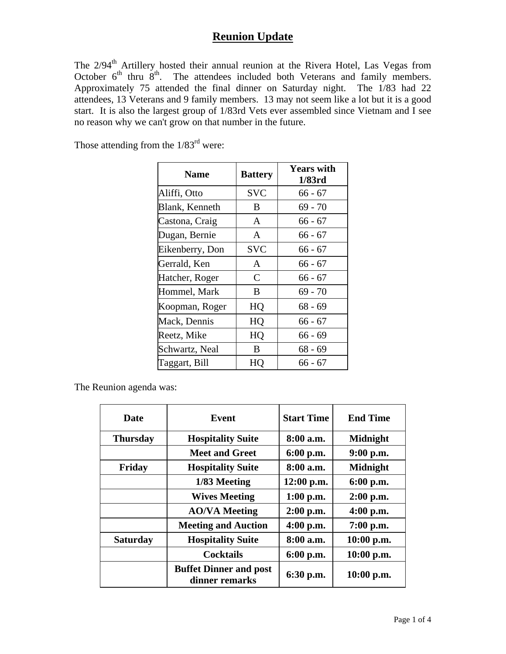The 2/94<sup>th</sup> Artillery hosted their annual reunion at the Rivera Hotel, Las Vegas from October  $6<sup>th</sup>$  thru  $8<sup>th</sup>$ . The attendees included both Veterans and family members. Approximately 75 attended the final dinner on Saturday night. The 1/83 had 22 attendees, 13 Veterans and 9 family members. 13 may not seem like a lot but it is a good start. It is also the largest group of 1/83rd Vets ever assembled since Vietnam and I see no reason why we can't grow on that number in the future.

Those attending from the  $1/83^{rd}$  were:

| <b>Name</b>     | <b>Battery</b> | <b>Years with</b><br>1/83rd |
|-----------------|----------------|-----------------------------|
| Aliffi, Otto    | <b>SVC</b>     | $66 - 67$                   |
| Blank, Kenneth  | B              | $69 - 70$                   |
| Castona, Craig  | A              | $66 - 67$                   |
| Dugan, Bernie   | A              | $66 - 67$                   |
| Eikenberry, Don | <b>SVC</b>     | $66 - 67$                   |
| Gerrald, Ken    | A              | $66 - 67$                   |
| Hatcher, Roger  | $\mathsf{C}$   | $66 - 67$                   |
| Hommel, Mark    | B              | 69 - 70                     |
| Koopman, Roger  | HQ             | $68 - 69$                   |
| Mack, Dennis    | HQ             | $66 - 67$                   |
| Reetz, Mike     | HQ             | $66 - 69$                   |
| Schwartz, Neal  | B              | $68 - 69$                   |
| Taggart, Bill   | HО             | 66 - 67                     |

The Reunion agenda was:

| <b>Date</b>     | Event                                           | <b>Start Time</b> | <b>End Time</b> |
|-----------------|-------------------------------------------------|-------------------|-----------------|
| <b>Thursday</b> | <b>Hospitality Suite</b>                        | $8:00$ a.m.       | <b>Midnight</b> |
|                 | <b>Meet and Greet</b>                           | 6:00 p.m.         | $9:00$ p.m.     |
| Friday          | <b>Hospitality Suite</b>                        | $8:00$ a.m.       | <b>Midnight</b> |
|                 | 1/83 Meeting                                    | 12:00 p.m.        | 6:00 p.m.       |
|                 | <b>Wives Meeting</b>                            | $1:00$ p.m.       | $2:00$ p.m.     |
|                 | <b>AO/VA Meeting</b>                            | 2:00 p.m.         | 4:00 p.m.       |
|                 | <b>Meeting and Auction</b>                      | $4:00$ p.m.       | $7:00$ p.m.     |
| <b>Saturday</b> | <b>Hospitality Suite</b>                        | $8:00$ a.m.       | $10:00$ p.m.    |
|                 | <b>Cocktails</b>                                | 6:00 p.m.         | 10:00 p.m.      |
|                 | <b>Buffet Dinner and post</b><br>dinner remarks | 6:30 p.m.         | 10:00 p.m.      |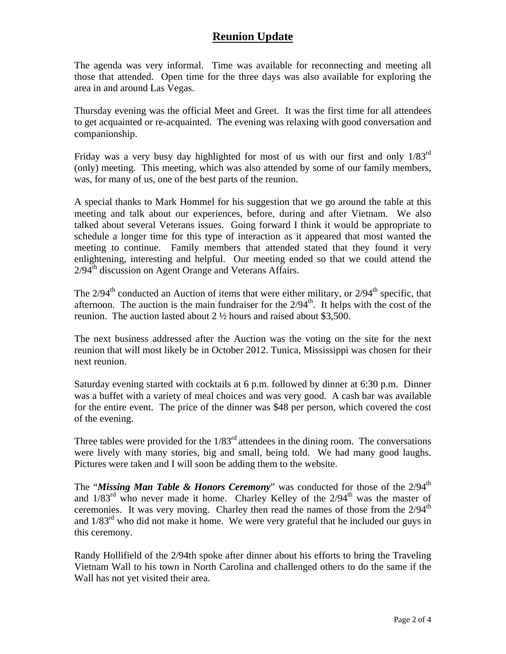The agenda was very informal. Time was available for reconnecting and meeting all those that attended. Open time for the three days was also available for exploring the area in and around Las Vegas.

Thursday evening was the official Meet and Greet. It was the first time for all attendees to get acquainted or re-acquainted. The evening was relaxing with good conversation and companionship.

Friday was a very busy day highlighted for most of us with our first and only  $1/83^{rd}$ (only) meeting. This meeting, which was also attended by some of our family members, was, for many of us, one of the best parts of the reunion.

A special thanks to Mark Hommel for his suggestion that we go around the table at this meeting and talk about our experiences, before, during and after Vietnam. We also talked about several Veterans issues. Going forward I think it would be appropriate to schedule a longer time for this type of interaction as it appeared that most wanted the meeting to continue. Family members that attended stated that they found it very enlightening, interesting and helpful. Our meeting ended so that we could attend the  $2/94<sup>th</sup>$  discussion on Agent Orange and Veterans Affairs.

The  $2/94<sup>th</sup>$  conducted an Auction of items that were either military, or  $2/94<sup>th</sup>$  specific, that afternoon. The auction is the main fundraiser for the  $2/94<sup>th</sup>$ . It helps with the cost of the reunion. The auction lasted about 2 ½ hours and raised about \$3,500.

The next business addressed after the Auction was the voting on the site for the next reunion that will most likely be in October 2012. Tunica, Mississippi was chosen for their next reunion.

Saturday evening started with cocktails at 6 p.m. followed by dinner at 6:30 p.m. Dinner was a buffet with a variety of meal choices and was very good. A cash bar was available for the entire event. The price of the dinner was \$48 per person, which covered the cost of the evening.

Three tables were provided for the  $1/83<sup>rd</sup>$  attendees in the dining room. The conversations were lively with many stories, big and small, being told. We had many good laughs. Pictures were taken and I will soon be adding them to the website.

The "*Missing Man Table & Honors Ceremony*" was conducted for those of the 2/94<sup>th</sup> and  $1/83^{rd}$  who never made it home. Charley Kelley of the  $2/94^{th}$  was the master of ceremonies. It was very moving. Charley then read the names of those from the  $2/94<sup>th</sup>$ and 1/83rd who did not make it home. We were very grateful that he included our guys in this ceremony.

Randy Hollifield of the 2/94th spoke after dinner about his efforts to bring the Traveling Vietnam Wall to his town in North Carolina and challenged others to do the same if the Wall has not yet visited their area.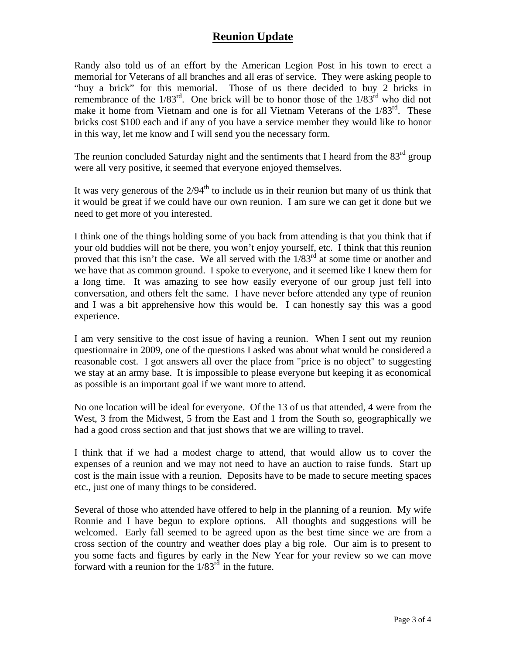Randy also told us of an effort by the American Legion Post in his town to erect a memorial for Veterans of all branches and all eras of service. They were asking people to "buy a brick" for this memorial. Those of us there decided to buy 2 bricks in remembrance of the  $1/83^{rd}$ . One brick will be to honor those of the  $1/83^{rd}$  who did not make it home from Vietnam and one is for all Vietnam Veterans of the 1/83<sup>rd</sup>. These bricks cost \$100 each and if any of you have a service member they would like to honor in this way, let me know and I will send you the necessary form.

The reunion concluded Saturday night and the sentiments that I heard from the  $83<sup>rd</sup>$  group were all very positive, it seemed that everyone enjoyed themselves.

It was very generous of the  $2/94<sup>th</sup>$  to include us in their reunion but many of us think that it would be great if we could have our own reunion. I am sure we can get it done but we need to get more of you interested.

I think one of the things holding some of you back from attending is that you think that if your old buddies will not be there, you won't enjoy yourself, etc. I think that this reunion proved that this isn't the case. We all served with the  $1/83<sup>rd</sup>$  at some time or another and we have that as common ground. I spoke to everyone, and it seemed like I knew them for a long time. It was amazing to see how easily everyone of our group just fell into conversation, and others felt the same. I have never before attended any type of reunion and I was a bit apprehensive how this would be. I can honestly say this was a good experience.

I am very sensitive to the cost issue of having a reunion. When I sent out my reunion questionnaire in 2009, one of the questions I asked was about what would be considered a reasonable cost. I got answers all over the place from "price is no object" to suggesting we stay at an army base. It is impossible to please everyone but keeping it as economical as possible is an important goal if we want more to attend.

No one location will be ideal for everyone. Of the 13 of us that attended, 4 were from the West, 3 from the Midwest, 5 from the East and 1 from the South so, geographically we had a good cross section and that just shows that we are willing to travel.

I think that if we had a modest charge to attend, that would allow us to cover the expenses of a reunion and we may not need to have an auction to raise funds. Start up cost is the main issue with a reunion. Deposits have to be made to secure meeting spaces etc., just one of many things to be considered.

Several of those who attended have offered to help in the planning of a reunion. My wife Ronnie and I have begun to explore options. All thoughts and suggestions will be welcomed. Early fall seemed to be agreed upon as the best time since we are from a cross section of the country and weather does play a big role. Our aim is to present to you some facts and figures by early in the New Year for your review so we can move forward with a reunion for the  $1/83^{rd}$  in the future.